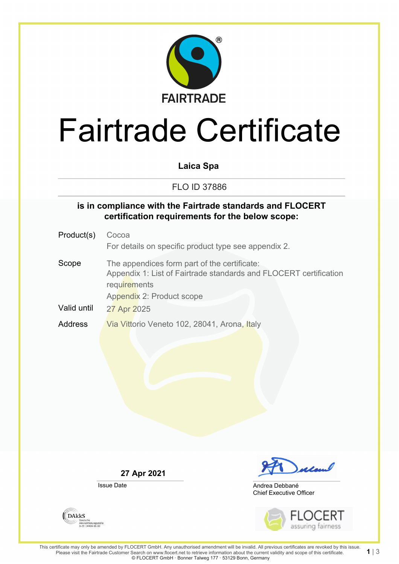

# Fairtrade Certificate

**Laica Spa**

FLO ID 37886

#### **is in compliance with the Fairtrade standards and FLOCERT certification requirements for the below scope:**

Product(s) Cocoa For details on specific product type see appendix 2. Scope The appendices form part of the certificate: Appendix 1: List of Fairtrade standards and FLOCERT certification **requirements** Appendix 2: Product scope Valid until 27 Apr 2025 Address Via Vittorio Veneto 102, 28041, Arona, Italy

**27 Apr 2021**

Issue Date



Chief Executive Officer Andrea Debbané



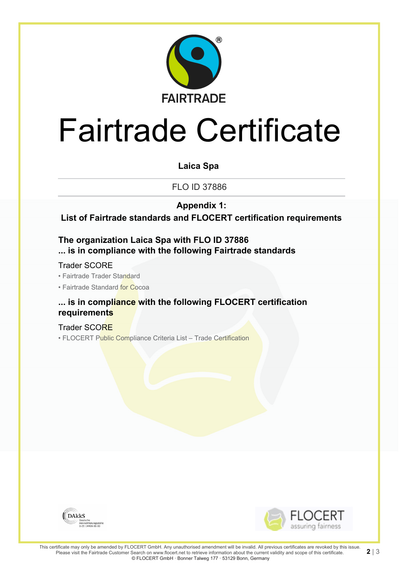

# Fairtrade Certificate

**Laica Spa**

FLO ID 37886

**Appendix 1:**

**List of Fairtrade standards and FLOCERT certification requirements**

**The organization Laica Spa with FLO ID 37886 ... is in compliance with the following Fairtrade standards**

Trader SCORE

• Fairtrade Trader Standard

• Fairtrade Standard for Cocoa

### **... is in compliance with the following FLOCERT certification requirements**

Trader SCORE • FLOCERT Public Compliance Criteria List - Trade Certification